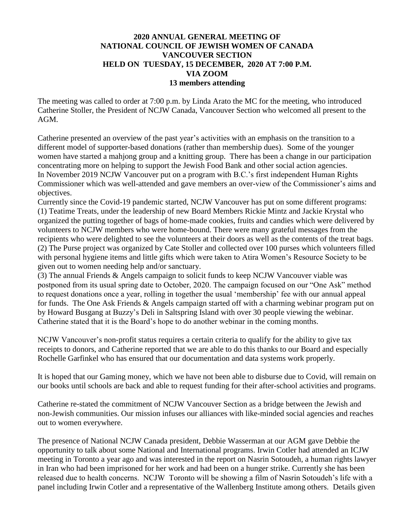## **2020 ANNUAL GENERAL MEETING OF NATIONAL COUNCIL OF JEWISH WOMEN OF CANADA VANCOUVER SECTION HELD ON TUESDAY, 15 DECEMBER, 2020 AT 7:00 P.M. VIA ZOOM 13 members attending**

The meeting was called to order at 7:00 p.m. by Linda Arato the MC for the meeting, who introduced Catherine Stoller, the President of NCJW Canada, Vancouver Section who welcomed all present to the AGM.

Catherine presented an overview of the past year's activities with an emphasis on the transition to a different model of supporter-based donations (rather than membership dues). Some of the younger women have started a mahjong group and a knitting group. There has been a change in our participation concentrating more on helping to support the Jewish Food Bank and other social action agencies. In November 2019 NCJW Vancouver put on a program with B.C.'s first independent Human Rights Commissioner which was well-attended and gave members an over-view of the Commissioner's aims and objectives.

Currently since the Covid-19 pandemic started, NCJW Vancouver has put on some different programs: (1) Teatime Treats, under the leadership of new Board Members Rickie Mintz and Jackie Krystal who organized the putting together of bags of home-made cookies, fruits and candies which were delivered by volunteers to NCJW members who were home-bound. There were many grateful messages from the recipients who were delighted to see the volunteers at their doors as well as the contents of the treat bags. (2) The Purse project was organized by Cate Stoller and collected over 100 purses which volunteers filled with personal hygiene items and little gifts which were taken to Atira Women's Resource Society to be given out to women needing help and/or sanctuary.

(3) The annual Friends & Angels campaign to solicit funds to keep NCJW Vancouver viable was postponed from its usual spring date to October, 2020. The campaign focused on our "One Ask" method to request donations once a year, rolling in together the usual 'membership' fee with our annual appeal for funds. The One Ask Friends & Angels campaign started off with a charming webinar program put on by Howard Busgang at Buzzy's Deli in Saltspring Island with over 30 people viewing the webinar. Catherine stated that it is the Board's hope to do another webinar in the coming months.

NCJW Vancouver's non-profit status requires a certain criteria to qualify for the ability to give tax receipts to donors, and Catherine reported that we are able to do this thanks to our Board and especially Rochelle Garfinkel who has ensured that our documentation and data systems work properly.

It is hoped that our Gaming money, which we have not been able to disburse due to Covid, will remain on our books until schools are back and able to request funding for their after-school activities and programs.

Catherine re-stated the commitment of NCJW Vancouver Section as a bridge between the Jewish and non-Jewish communities. Our mission infuses our alliances with like-minded social agencies and reaches out to women everywhere.

The presence of National NCJW Canada president, Debbie Wasserman at our AGM gave Debbie the opportunity to talk about some National and International programs. Irwin Cotler had attended an ICJW meeting in Toronto a year ago and was interested in the report on Nasrin Sotoudeh, a human rights lawyer in Iran who had been imprisoned for her work and had been on a hunger strike. Currently she has been released due to health concerns. NCJW Toronto will be showing a film of Nasrin Sotoudeh's life with a panel including Irwin Cotler and a representative of the Wallenberg Institute among others. Details given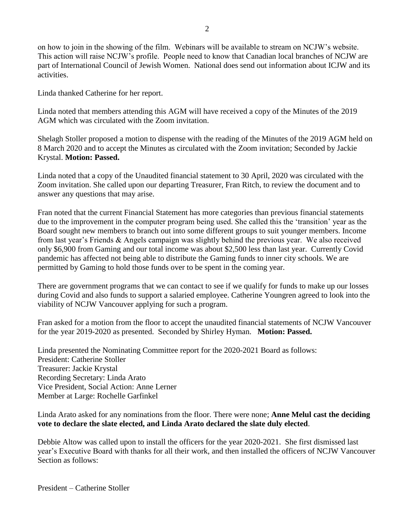on how to join in the showing of the film. Webinars will be available to stream on NCJW's website. This action will raise NCJW's profile. People need to know that Canadian local branches of NCJW are part of International Council of Jewish Women. National does send out information about ICJW and its activities.

Linda thanked Catherine for her report.

Linda noted that members attending this AGM will have received a copy of the Minutes of the 2019 AGM which was circulated with the Zoom invitation.

Shelagh Stoller proposed a motion to dispense with the reading of the Minutes of the 2019 AGM held on 8 March 2020 and to accept the Minutes as circulated with the Zoom invitation; Seconded by Jackie Krystal. **Motion: Passed.**

Linda noted that a copy of the Unaudited financial statement to 30 April, 2020 was circulated with the Zoom invitation. She called upon our departing Treasurer, Fran Ritch, to review the document and to answer any questions that may arise.

Fran noted that the current Financial Statement has more categories than previous financial statements due to the improvement in the computer program being used. She called this the 'transition' year as the Board sought new members to branch out into some different groups to suit younger members. Income from last year's Friends & Angels campaign was slightly behind the previous year. We also received only \$6,900 from Gaming and our total income was about \$2,500 less than last year. Currently Covid pandemic has affected not being able to distribute the Gaming funds to inner city schools. We are permitted by Gaming to hold those funds over to be spent in the coming year.

There are government programs that we can contact to see if we qualify for funds to make up our losses during Covid and also funds to support a salaried employee. Catherine Youngren agreed to look into the viability of NCJW Vancouver applying for such a program.

Fran asked for a motion from the floor to accept the unaudited financial statements of NCJW Vancouver for the year 2019-2020 as presented. Seconded by Shirley Hyman. **Motion: Passed.**

Linda presented the Nominating Committee report for the 2020-2021 Board as follows: President: Catherine Stoller Treasurer: Jackie Krystal Recording Secretary: Linda Arato Vice President, Social Action: Anne Lerner Member at Large: Rochelle Garfinkel

## Linda Arato asked for any nominations from the floor. There were none; **Anne Melul cast the deciding vote to declare the slate elected, and Linda Arato declared the slate duly elected**.

Debbie Altow was called upon to install the officers for the year 2020-2021. She first dismissed last year's Executive Board with thanks for all their work, and then installed the officers of NCJW Vancouver Section as follows: